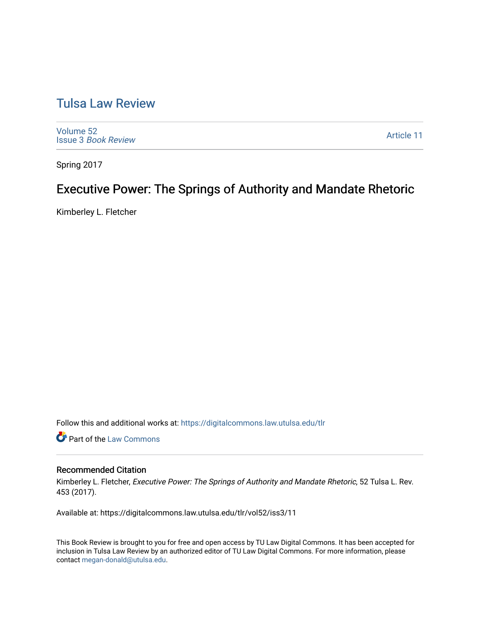# [Tulsa Law Review](https://digitalcommons.law.utulsa.edu/tlr)

[Volume 52](https://digitalcommons.law.utulsa.edu/tlr/vol52) Issue 3 [Book Review](https://digitalcommons.law.utulsa.edu/tlr/vol52/iss3)

[Article 11](https://digitalcommons.law.utulsa.edu/tlr/vol52/iss3/11) 

Spring 2017

# Executive Power: The Springs of Authority and Mandate Rhetoric

Kimberley L. Fletcher

Follow this and additional works at: [https://digitalcommons.law.utulsa.edu/tlr](https://digitalcommons.law.utulsa.edu/tlr?utm_source=digitalcommons.law.utulsa.edu%2Ftlr%2Fvol52%2Fiss3%2F11&utm_medium=PDF&utm_campaign=PDFCoverPages) 

**Part of the [Law Commons](http://network.bepress.com/hgg/discipline/578?utm_source=digitalcommons.law.utulsa.edu%2Ftlr%2Fvol52%2Fiss3%2F11&utm_medium=PDF&utm_campaign=PDFCoverPages)** 

### Recommended Citation

Kimberley L. Fletcher, Executive Power: The Springs of Authority and Mandate Rhetoric, 52 Tulsa L. Rev. 453 (2017).

Available at: https://digitalcommons.law.utulsa.edu/tlr/vol52/iss3/11

This Book Review is brought to you for free and open access by TU Law Digital Commons. It has been accepted for inclusion in Tulsa Law Review by an authorized editor of TU Law Digital Commons. For more information, please contact [megan-donald@utulsa.edu.](mailto:megan-donald@utulsa.edu)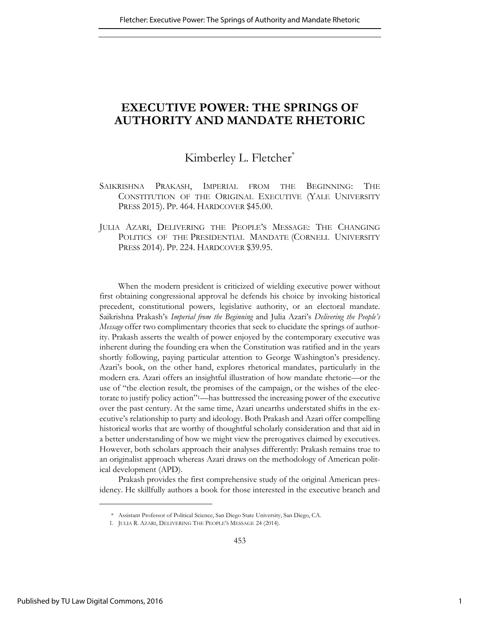## **EXECUTIVE POWER: THE SPRINGS OF AUTHORITY AND MANDATE RHETORIC**

## Kimberley L. Fletcher<sup>\*</sup>

- SAIKRISHNA PRAKASH, IMPERIAL FROM THE BEGINNING: THE CONSTITUTION OF THE ORIGINAL EXECUTIVE (YALE UNIVERSITY PRESS 2015). PP. 464. HARDCOVER \$45.00.
- JULIA AZARI, DELIVERING THE PEOPLE'S MESSAGE: THE CHANGING POLITICS OF THE PRESIDENTIAL MANDATE (CORNELL UNIVERSITY PRESS 2014). PP. 224. HARDCOVER \$39.95.

When the modern president is criticized of wielding executive power without first obtaining congressional approval he defends his choice by invoking historical precedent, constitutional powers, legislative authority, or an electoral mandate. Saikrishna Prakash's *Imperial from the Beginning* and Julia Azari's *Delivering the People's Message* offer two complimentary theories that seek to elucidate the springs of authority. Prakash asserts the wealth of power enjoyed by the contemporary executive was inherent during the founding era when the Constitution was ratified and in the years shortly following, paying particular attention to George Washington's presidency. Azari's book, on the other hand, explores rhetorical mandates, particularly in the modern era. Azari offers an insightful illustration of how mandate rhetoric—or the use of "the election result, the promises of the campaign, or the wishes of the electorate to justify policy action"1—has buttressed the increasing power of the executive over the past century. At the same time, Azari unearths understated shifts in the executive's relationship to party and ideology. Both Prakash and Azari offer compelling historical works that are worthy of thoughtful scholarly consideration and that aid in a better understanding of how we might view the prerogatives claimed by executives. However, both scholars approach their analyses differently: Prakash remains true to an originalist approach whereas Azari draws on the methodology of American political development (APD).

Prakash provides the first comprehensive study of the original American presidency. He skillfully authors a book for those interested in the executive branch and

<sup>\*</sup> Assistant Professor of Political Science, San Diego State University, San Diego, CA.

<sup>1.</sup> JULIA R. AZARI, DELIVERING THE PEOPLE'S MESSAGE 24 (2014).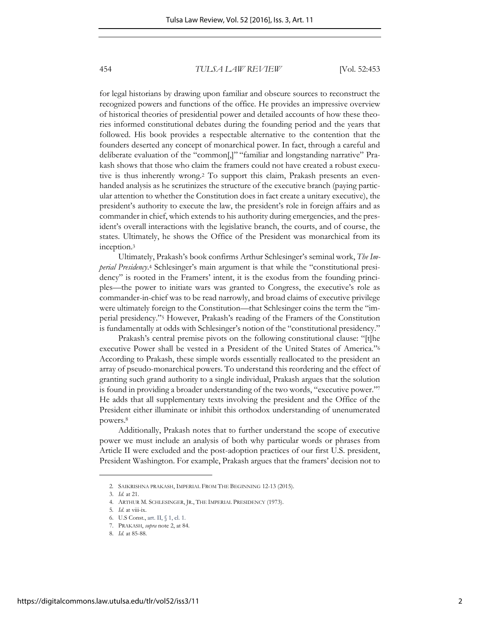for legal historians by drawing upon familiar and obscure sources to reconstruct the recognized powers and functions of the office. He provides an impressive overview of historical theories of presidential power and detailed accounts of how these theories informed constitutional debates during the founding period and the years that followed. His book provides a respectable alternative to the contention that the founders deserted any concept of monarchical power. In fact, through a careful and deliberate evaluation of the "common[,]" "familiar and longstanding narrative" Prakash shows that those who claim the framers could not have created a robust executive is thus inherently wrong.2 To support this claim, Prakash presents an evenhanded analysis as he scrutinizes the structure of the executive branch (paying particular attention to whether the Constitution does in fact create a unitary executive), the president's authority to execute the law, the president's role in foreign affairs and as commander in chief, which extends to his authority during emergencies, and the president's overall interactions with the legislative branch, the courts, and of course, the states. Ultimately, he shows the Office of the President was monarchical from its inception.<sup>3</sup>

Ultimately, Prakash's book confirms Arthur Schlesinger's seminal work, *The Imperial Presidency*.<sup>4</sup> Schlesinger's main argument is that while the "constitutional presidency" is rooted in the Framers' intent, it is the exodus from the founding principles—the power to initiate wars was granted to Congress, the executive's role as commander-in-chief was to be read narrowly, and broad claims of executive privilege were ultimately foreign to the Constitution—that Schlesinger coins the term the "imperial presidency."<sup>5</sup> However, Prakash's reading of the Framers of the Constitution is fundamentally at odds with Schlesinger's notion of the "constitutional presidency."

Prakash's central premise pivots on the following constitutional clause: "[t]he executive Power shall be vested in a President of the United States of America."<sup>6</sup> According to Prakash, these simple words essentially reallocated to the president an array of pseudo-monarchical powers. To understand this reordering and the effect of granting such grand authority to a single individual, Prakash argues that the solution is found in providing a broader understanding of the two words, "executive power." 7 He adds that all supplementary texts involving the president and the Office of the President either illuminate or inhibit this orthodox understanding of unenumerated powers.<sup>8</sup>

Additionally, Prakash notes that to further understand the scope of executive power we must include an analysis of both why particular words or phrases from Article II were excluded and the post-adoption practices of our first U.S. president, President Washington. For example, Prakash argues that the framers' decision not to

<sup>2</sup>*.* SAIKRISHNA PRAKASH, IMPERIAL FROM THE BEGINNING 12-13 (2015).

<sup>3.</sup> *Id.* at 21.

<sup>4.</sup> ARTHUR M. SCHLESINGER, JR., THE IMPERIAL PRESIDENCY (1973).

<sup>5</sup>*. Id*. at viii-ix.

<sup>6.</sup> U.S Const., art. II, § 1, cl. 1.

<sup>7.</sup> PRAKASH, *supra* note 2, at 84.

<sup>8.</sup> *Id.* at 85-88.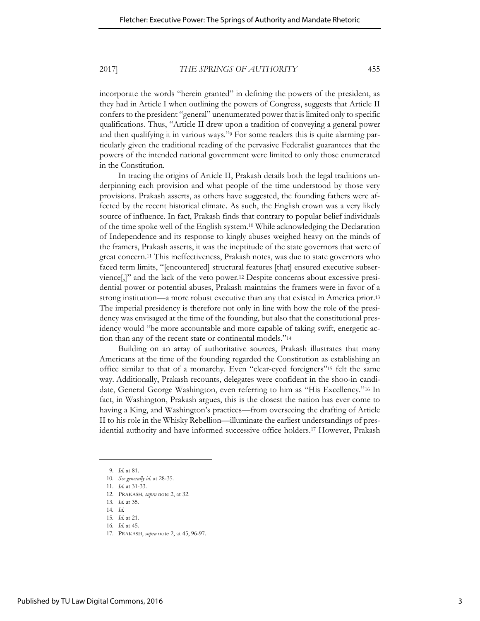incorporate the words "herein granted" in defining the powers of the president, as they had in Article I when outlining the powers of Congress, suggests that Article II confers to the president "general" unenumerated power that is limited only to specific qualifications. Thus, "Article II drew upon a tradition of conveying a general power and then qualifying it in various ways."9 For some readers this is quite alarming particularly given the traditional reading of the pervasive Federalist guarantees that the powers of the intended national government were limited to only those enumerated in the Constitution.

In tracing the origins of Article II, Prakash details both the legal traditions underpinning each provision and what people of the time understood by those very provisions. Prakash asserts, as others have suggested, the founding fathers were affected by the recent historical climate. As such, the English crown was a very likely source of influence. In fact, Prakash finds that contrary to popular belief individuals of the time spoke well of the English system.10 While acknowledging the Declaration of Independence and its response to kingly abuses weighed heavy on the minds of the framers, Prakash asserts, it was the ineptitude of the state governors that were of great concern.<sup>11</sup> This ineffectiveness, Prakash notes, was due to state governors who faced term limits, "[encountered] structural features [that] ensured executive subservience[,]" and the lack of the veto power.12 Despite concerns about excessive presidential power or potential abuses, Prakash maintains the framers were in favor of a strong institution—a more robust executive than any that existed in America prior.<sup>13</sup> The imperial presidency is therefore not only in line with how the role of the presidency was envisaged at the time of the founding, but also that the constitutional presidency would "be more accountable and more capable of taking swift, energetic action than any of the recent state or continental models."<sup>14</sup>

Building on an array of authoritative sources, Prakash illustrates that many Americans at the time of the founding regarded the Constitution as establishing an office similar to that of a monarchy. Even "clear-eyed foreigners"15 felt the same way. Additionally, Prakash recounts, delegates were confident in the shoo-in candidate, General George Washington, even referring to him as "His Excellency."16 In fact, in Washington, Prakash argues, this is the closest the nation has ever come to having a King, and Washington's practices—from overseeing the drafting of Article II to his role in the Whisky Rebellion—illuminate the earliest understandings of presidential authority and have informed successive office holders.17 However, Prakash

<sup>9.</sup> *Id.* at 81. 10. *See generally id.* at 28-35.

<sup>11.</sup> *Id.* at 31-33.

<sup>12.</sup> PRAKASH, *supra* note 2, at 32.

<sup>13</sup>*. Id*. at 35. 14*. Id.*

<sup>15</sup>*. Id*. at 21.

<sup>16</sup>*. Id*. at 45.

<sup>17.</sup> PRAKASH, *supra* note 2, at 45, 96-97.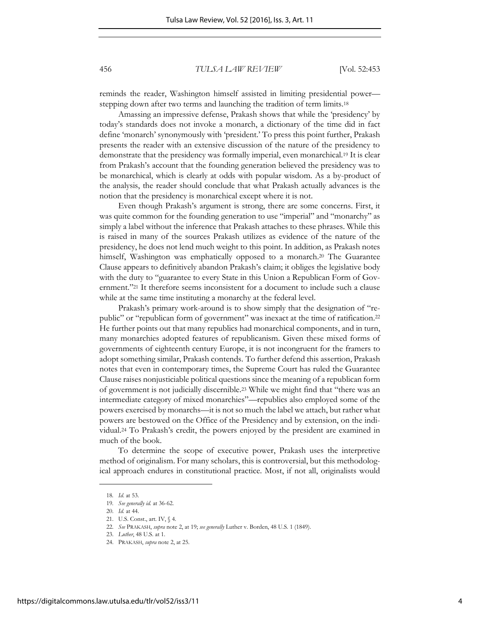reminds the reader, Washington himself assisted in limiting presidential power stepping down after two terms and launching the tradition of term limits.<sup>18</sup>

Amassing an impressive defense, Prakash shows that while the 'presidency' by today's standards does not invoke a monarch, a dictionary of the time did in fact define 'monarch' synonymously with 'president.' To press this point further, Prakash presents the reader with an extensive discussion of the nature of the presidency to demonstrate that the presidency was formally imperial, even monarchical.19 It is clear from Prakash's account that the founding generation believed the presidency was to be monarchical, which is clearly at odds with popular wisdom. As a by-product of the analysis, the reader should conclude that what Prakash actually advances is the notion that the presidency is monarchical except where it is not.

Even though Prakash's argument is strong, there are some concerns. First, it was quite common for the founding generation to use "imperial" and "monarchy" as simply a label without the inference that Prakash attaches to these phrases. While this is raised in many of the sources Prakash utilizes as evidence of the nature of the presidency, he does not lend much weight to this point. In addition, as Prakash notes himself, Washington was emphatically opposed to a monarch.<sup>20</sup> The Guarantee Clause appears to definitively abandon Prakash's claim; it obliges the legislative body with the duty to "guarantee to every State in this Union a Republican Form of Government."21 It therefore seems inconsistent for a document to include such a clause while at the same time instituting a monarchy at the federal level.

Prakash's primary work-around is to show simply that the designation of "republic" or "republican form of government" was inexact at the time of ratification.<sup>22</sup> He further points out that many republics had monarchical components, and in turn, many monarchies adopted features of republicanism. Given these mixed forms of governments of eighteenth century Europe, it is not incongruent for the framers to adopt something similar, Prakash contends. To further defend this assertion, Prakash notes that even in contemporary times, the Supreme Court has ruled the Guarantee Clause raises nonjusticiable political questions since the meaning of a republican form of government is not judicially discernible.<sup>23</sup> While we might find that "there was an intermediate category of mixed monarchies"—republics also employed some of the powers exercised by monarchs—it is not so much the label we attach, but rather what powers are bestowed on the Office of the Presidency and by extension, on the individual.24 To Prakash's credit, the powers enjoyed by the president are examined in much of the book.

To determine the scope of executive power, Prakash uses the interpretive method of originalism. For many scholars, this is controversial, but this methodological approach endures in constitutional practice. Most, if not all, originalists would

<sup>18</sup>*. Id*. at 53.

<sup>19</sup>*. See generally id.* at 36-62.

<sup>20.</sup> *Id.* at 44.

<sup>21.</sup> U.S. Const., art. IV, § 4.

<sup>22.</sup> *See* PRAKASH, *supra* note 2, at 19; *see generally* Luther v. Borden, 48 U.S. 1 (1849).

<sup>23.</sup> *Luther*, 48 U.S. at 1.

<sup>24.</sup> PRAKASH, *supra* note 2, at 25.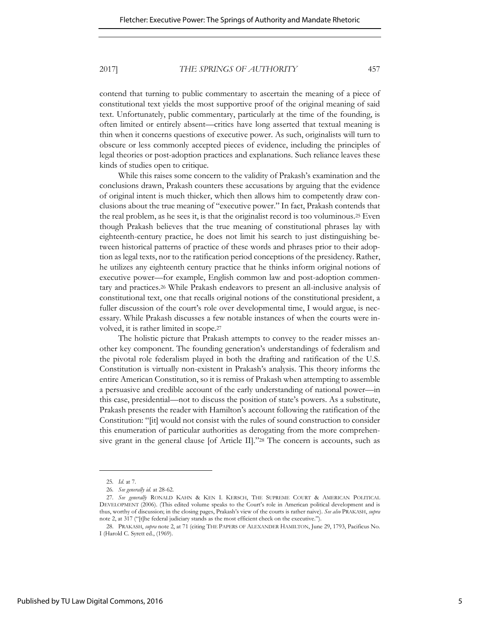contend that turning to public commentary to ascertain the meaning of a piece of constitutional text yields the most supportive proof of the original meaning of said text. Unfortunately, public commentary, particularly at the time of the founding, is often limited or entirely absent—critics have long asserted that textual meaning is thin when it concerns questions of executive power. As such, originalists will turn to obscure or less commonly accepted pieces of evidence, including the principles of legal theories or post-adoption practices and explanations. Such reliance leaves these kinds of studies open to critique.

While this raises some concern to the validity of Prakash's examination and the conclusions drawn, Prakash counters these accusations by arguing that the evidence of original intent is much thicker, which then allows him to competently draw conclusions about the true meaning of "executive power." In fact, Prakash contends that the real problem, as he sees it, is that the originalist record is too voluminous.25 Even though Prakash believes that the true meaning of constitutional phrases lay with eighteenth-century practice, he does not limit his search to just distinguishing between historical patterns of practice of these words and phrases prior to their adoption as legal texts, nor to the ratification period conceptions of the presidency. Rather, he utilizes any eighteenth century practice that he thinks inform original notions of executive power—for example, English common law and post-adoption commentary and practices.26 While Prakash endeavors to present an all-inclusive analysis of constitutional text, one that recalls original notions of the constitutional president, a fuller discussion of the court's role over developmental time, I would argue, is necessary. While Prakash discusses a few notable instances of when the courts were involved, it is rather limited in scope.<sup>27</sup>

The holistic picture that Prakash attempts to convey to the reader misses another key component. The founding generation's understandings of federalism and the pivotal role federalism played in both the drafting and ratification of the U.S. Constitution is virtually non-existent in Prakash's analysis. This theory informs the entire American Constitution, so it is remiss of Prakash when attempting to assemble a persuasive and credible account of the early understanding of national power—in this case, presidential—not to discuss the position of state's powers. As a substitute, Prakash presents the reader with Hamilton's account following the ratification of the Constitution: "[it] would not consist with the rules of sound construction to consider this enumeration of particular authorities as derogating from the more comprehensive grant in the general clause [of Article II]."28 The concern is accounts, such as

<sup>25</sup>*. Id*. at 7.

<sup>26</sup>*. See generally id.* at 28-62.

<sup>27</sup>*. See generally* RONALD KAHN & KEN I. KERSCH, THE SUPREME COURT & AMERICAN POLITICAL DEVELOPMENT (2006). (This edited volume speaks to the Court's role in American political development and is thus, worthy of discussion; in the closing pages, Prakash's view of the courts is rather naive). *See also* PRAKASH, *supra*  note 2, at 317 ("[t]he federal judiciary stands as the most efficient check on the executive.").

<sup>28.</sup> PRAKASH, *supra* note 2, at 71 (citing THE PAPERS OF ALEXANDER HAMILTON, June 29, 1793, Pacificus No. I (Harold C. Syrett ed., (1969).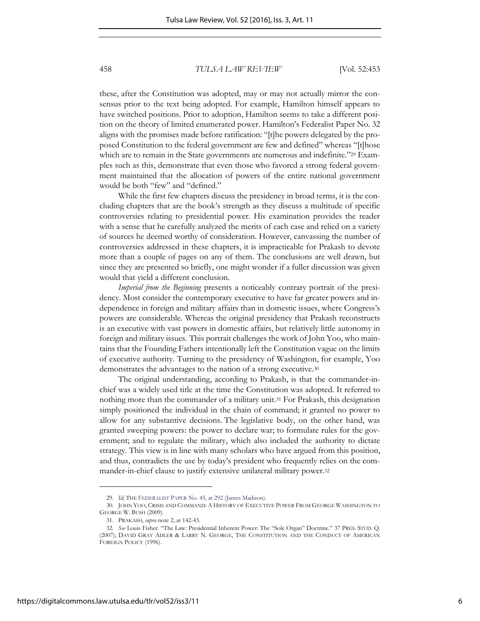these, after the Constitution was adopted, may or may not actually mirror the consensus prior to the text being adopted. For example, Hamilton himself appears to have switched positions. Prior to adoption, Hamilton seems to take a different position on the theory of limited enumerated power. Hamilton's Federalist Paper No. 32 aligns with the promises made before ratification: "[t]he powers delegated by the proposed Constitution to the federal government are few and defined" whereas "[t]hose which are to remain in the State governments are numerous and indefinite."29 Examples such as this, demonstrate that even those who favored a strong federal government maintained that the allocation of powers of the entire national government would be both "few" and "defined."

While the first few chapters discuss the presidency in broad terms, it is the concluding chapters that are the book's strength as they discuss a multitude of specific controversies relating to presidential power. His examination provides the reader with a sense that he carefully analyzed the merits of each case and relied on a variety of sources he deemed worthy of consideration. However, canvassing the number of controversies addressed in these chapters, it is impracticable for Prakash to devote more than a couple of pages on any of them. The conclusions are well drawn, but since they are presented so briefly, one might wonder if a fuller discussion was given would that yield a different conclusion.

*Imperial from the Beginning* presents a noticeably contrary portrait of the presidency. Most consider the contemporary executive to have far greater powers and independence in foreign and military affairs than in domestic issues, where Congress's powers are considerable. Whereas the original presidency that Prakash reconstructs is an executive with vast powers in domestic affairs, but relatively little autonomy in foreign and military issues. This portrait challenges the work of John Yoo, who maintains that the Founding Fathers intentionally left the Constitution vague on the limits of executive authority. Turning to the presidency of Washington, for example, Yoo demonstrates the advantages to the nation of a strong executive.<sup>30</sup>

The original understanding, according to Prakash, is that the commander-inchief was a widely used title at the time the Constitution was adopted. It referred to nothing more than the commander of a military unit.<sup>31</sup> For Prakash, this designation simply positioned the individual in the chain of command; it granted no power to allow for any substantive decisions. The legislative body, on the other hand, was granted sweeping powers: the power to declare war; to formulate rules for the government; and to regulate the military, which also included the authority to dictate strategy. This view is in line with many scholars who have argued from this position, and thus, contradicts the use by today's president who frequently relies on the commander-in-chief clause to justify extensive unilateral military power.<sup>32</sup>

<sup>29</sup>*. Id*; THE FEDERALIST PAPER No. 45, at 292 (James Madison).

<sup>30.</sup> JOHN YOO, CRISIS AND COMMAND: A HISTORY OF EXECUTIVE POWER FROM GEORGE WASHINGTON TO GEORGE W. BUSH (2009).

<sup>31.</sup> PRAKASH, *supra* note 2, at 142-43.

<sup>32</sup>*. See* Louis Fisher. "The Law*:* Presidential Inherent Power: The "Sole Organ" Doctrine." 37 PRES. STUD. Q. (2007); DAVID GRAY ADLER & LARRY N. GEORGE, THE CONSTITUTION AND THE CONDUCT OF AMERICAN FOREIGN POLICY (1996).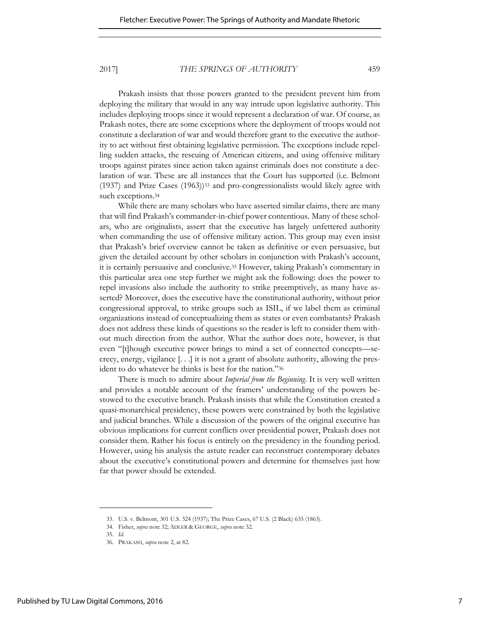Prakash insists that those powers granted to the president prevent him from deploying the military that would in any way intrude upon legislative authority. This includes deploying troops since it would represent a declaration of war. Of course, as Prakash notes, there are some exceptions where the deployment of troops would not constitute a declaration of war and would therefore grant to the executive the authority to act without first obtaining legislative permission. The exceptions include repelling sudden attacks, the rescuing of American citizens, and using offensive military troops against pirates since action taken against criminals does not constitute a declaration of war. These are all instances that the Court has supported (i.e. Belmont (1937) and Prize Cases (1963))33 and pro-congressionalists would likely agree with such exceptions.<sup>34</sup>

While there are many scholars who have asserted similar claims, there are many that will find Prakash's commander-in-chief power contentious. Many of these scholars, who are originalists, assert that the executive has largely unfettered authority when commanding the use of offensive military action. This group may even insist that Prakash's brief overview cannot be taken as definitive or even persuasive, but given the detailed account by other scholars in conjunction with Prakash's account, it is certainly persuasive and conclusive.<sup>35</sup> However, taking Prakash's commentary in this particular area one step further we might ask the following: does the power to repel invasions also include the authority to strike preemptively, as many have asserted? Moreover, does the executive have the constitutional authority, without prior congressional approval, to strike groups such as ISIL, if we label them as criminal organizations instead of conceptualizing them as states or even combatants? Prakash does not address these kinds of questions so the reader is left to consider them without much direction from the author. What the author does note, however, is that even "[t]hough executive power brings to mind a set of connected concepts—secrecy, energy, vigilance [. . .] it is not a grant of absolute authority, allowing the president to do whatever he thinks is best for the nation."<sup>36</sup>

There is much to admire about *Imperial from the Beginning*. It is very well written and provides a notable account of the framers' understanding of the powers bestowed to the executive branch. Prakash insists that while the Constitution created a quasi-monarchical presidency, these powers were constrained by both the legislative and judicial branches. While a discussion of the powers of the original executive has obvious implications for current conflicts over presidential power, Prakash does not consider them. Rather his focus is entirely on the presidency in the founding period. However, using his analysis the astute reader can reconstruct contemporary debates about the executive's constitutional powers and determine for themselves just how far that power should be extended.

<sup>33.</sup> U.S. v. Belmont, 301 U.S. 324 (1937); The Prize Cases, 67 U.S. (2 Black) 635 (1863).

<sup>34.</sup> Fisher, *supra* note 32; ADLER & GEORGE, *supra* note 32.

<sup>35</sup>*. Id*.

<sup>36.</sup> PRAKASH, *supra* note 2, at 82.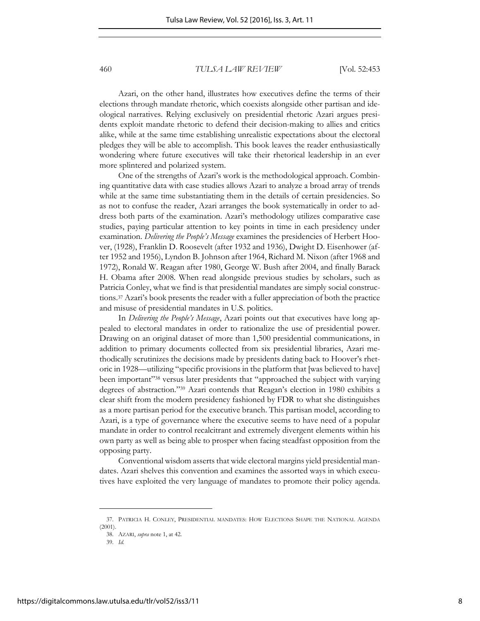Azari, on the other hand, illustrates how executives define the terms of their elections through mandate rhetoric, which coexists alongside other partisan and ideological narratives. Relying exclusively on presidential rhetoric Azari argues presidents exploit mandate rhetoric to defend their decision-making to allies and critics alike, while at the same time establishing unrealistic expectations about the electoral pledges they will be able to accomplish. This book leaves the reader enthusiastically wondering where future executives will take their rhetorical leadership in an ever more splintered and polarized system.

One of the strengths of Azari's work is the methodological approach. Combining quantitative data with case studies allows Azari to analyze a broad array of trends while at the same time substantiating them in the details of certain presidencies. So as not to confuse the reader, Azari arranges the book systematically in order to address both parts of the examination. Azari's methodology utilizes comparative case studies, paying particular attention to key points in time in each presidency under examination. *Delivering the People's Message* examines the presidencies of Herbert Hoover, (1928), Franklin D. Roosevelt (after 1932 and 1936), Dwight D. Eisenhower (after 1952 and 1956), Lyndon B. Johnson after 1964, Richard M. Nixon (after 1968 and 1972), Ronald W. Reagan after 1980, George W. Bush after 2004, and finally Barack H. Obama after 2008. When read alongside previous studies by scholars, such as Patricia Conley, what we find is that presidential mandates are simply social constructions.<sup>37</sup> Azari's book presents the reader with a fuller appreciation of both the practice and misuse of presidential mandates in U.S. politics.

In *Delivering the People's Message*, Azari points out that executives have long appealed to electoral mandates in order to rationalize the use of presidential power. Drawing on an original dataset of more than 1,500 presidential communications, in addition to primary documents collected from six presidential libraries, Azari methodically scrutinizes the decisions made by presidents dating back to Hoover's rhetoric in 1928—utilizing "specific provisions in the platform that [was believed to have] been important"<sup>38</sup> versus later presidents that "approached the subject with varying degrees of abstraction."<sup>39</sup> Azari contends that Reagan's election in 1980 exhibits a clear shift from the modern presidency fashioned by FDR to what she distinguishes as a more partisan period for the executive branch. This partisan model, according to Azari, is a type of governance where the executive seems to have need of a popular mandate in order to control recalcitrant and extremely divergent elements within his own party as well as being able to prosper when facing steadfast opposition from the opposing party.

Conventional wisdom asserts that wide electoral margins yield presidential mandates. Azari shelves this convention and examines the assorted ways in which executives have exploited the very language of mandates to promote their policy agenda.

(2001).

l

39. *Id.*

<sup>37.</sup> PATRICIA H. CONLEY, PRESIDENTIAL MANDATES: HOW ELECTIONS SHAPE THE NATIONAL AGENDA

<sup>38.</sup> AZARI, *supra* note 1, at 42.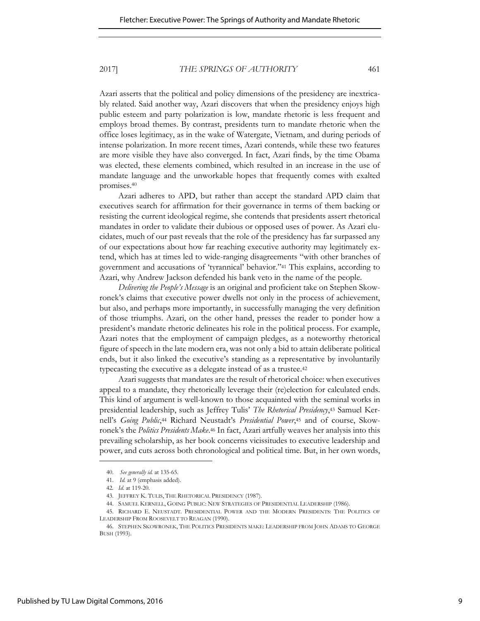Azari asserts that the political and policy dimensions of the presidency are inextricably related. Said another way, Azari discovers that when the presidency enjoys high public esteem and party polarization is low, mandate rhetoric is less frequent and employs broad themes. By contrast, presidents turn to mandate rhetoric when the office loses legitimacy, as in the wake of Watergate, Vietnam, and during periods of intense polarization. In more recent times, Azari contends, while these two features are more visible they have also converged. In fact, Azari finds, by the time Obama was elected, these elements combined, which resulted in an increase in the use of mandate language and the unworkable hopes that frequently comes with exalted promises.<sup>40</sup>

Azari adheres to APD, but rather than accept the standard APD claim that executives search for affirmation for their governance in terms of them backing or resisting the current ideological regime, she contends that presidents assert rhetorical mandates in order to validate their dubious or opposed uses of power. As Azari elucidates, much of our past reveals that the role of the presidency has far surpassed any of our expectations about how far reaching executive authority may legitimately extend, which has at times led to wide-ranging disagreements "with other branches of government and accusations of 'tyrannical' behavior."41 This explains, according to Azari, why Andrew Jackson defended his bank veto in the name of the people.

*Delivering the People's Message* is an original and proficient take on Stephen Skowronek's claims that executive power dwells not only in the process of achievement, but also, and perhaps more importantly, in successfully managing the very definition of those triumphs. Azari, on the other hand, presses the reader to ponder how a president's mandate rhetoric delineates his role in the political process. For example, Azari notes that the employment of campaign pledges, as a noteworthy rhetorical figure of speech in the late modern era, was not only a bid to attain deliberate political ends, but it also linked the executive's standing as a representative by involuntarily typecasting the executive as a delegate instead of as a trustee.<sup>42</sup>

Azari suggests that mandates are the result of rhetorical choice: when executives appeal to a mandate, they rhetorically leverage their (re)election for calculated ends. This kind of argument is well-known to those acquainted with the seminal works in presidential leadership, such as Jeffrey Tulis' *The Rhetorical Presidency*,43 Samuel Kernell's *Going Public*,<sup>44</sup> Richard Neustadt's *Presidential Power*,45 and of course, Skowronek's the *Politics Presidents Make*.<sup>46</sup> In fact, Azari artfully weaves her analysis into this prevailing scholarship, as her book concerns vicissitudes to executive leadership and power, and cuts across both chronological and political time. But, in her own words,

<sup>40.</sup> *See generally id.* at 135-65.

<sup>41.</sup> *Id.* at 9 (emphasis added).

<sup>42</sup>*. Id*. at 119-20.

<sup>43.</sup> JEFFREY K. TULIS, THE RHETORICAL PRESIDENCY (1987).

<sup>44.</sup> SAMUEL KERNELL, GOING PUBLIC: NEW STRATEGIES OF PRESIDENTIAL LEADERSHIP (1986).

<sup>45.</sup> RICHARD E. NEUSTADT. PRESIDENTIAL POWER AND THE MODERN PRESIDENTS: THE POLITICS OF LEADERSHIP FROM ROOSEVELT TO REAGAN (1990).

<sup>46.</sup> STEPHEN SKOWRONEK, THE POLITICS PRESIDENTS MAKE: LEADERSHIP FROM JOHN ADAMS TO GEORGE BUSH (1993).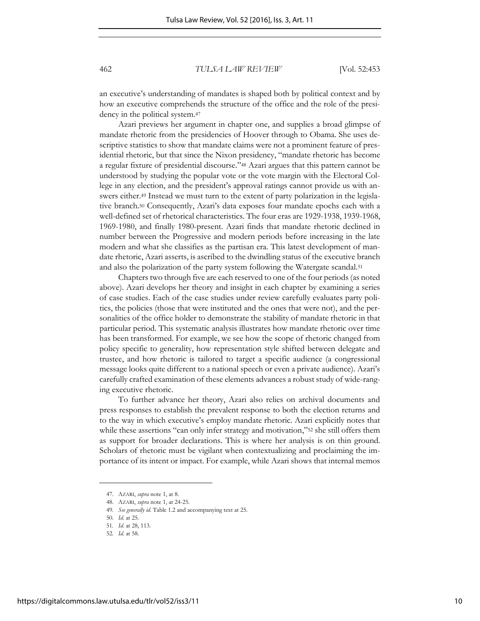an executive's understanding of mandates is shaped both by political context and by how an executive comprehends the structure of the office and the role of the presidency in the political system.<sup>47</sup>

Azari previews her argument in chapter one, and supplies a broad glimpse of mandate rhetoric from the presidencies of Hoover through to Obama. She uses descriptive statistics to show that mandate claims were not a prominent feature of presidential rhetoric, but that since the Nixon presidency, "mandate rhetoric has become a regular fixture of presidential discourse."<sup>48</sup> Azari argues that this pattern cannot be understood by studying the popular vote or the vote margin with the Electoral College in any election, and the president's approval ratings cannot provide us with answers either.<sup>49</sup> Instead we must turn to the extent of party polarization in the legislative branch.<sup>50</sup> Consequently, Azari's data exposes four mandate epochs each with a well-defined set of rhetorical characteristics. The four eras are 1929-1938, 1939-1968, 1969-1980, and finally 1980-present. Azari finds that mandate rhetoric declined in number between the Progressive and modern periods before increasing in the late modern and what she classifies as the partisan era. This latest development of mandate rhetoric, Azari asserts, is ascribed to the dwindling status of the executive branch and also the polarization of the party system following the Watergate scandal.<sup>51</sup>

Chapters two through five are each reserved to one of the four periods (as noted above). Azari develops her theory and insight in each chapter by examining a series of case studies. Each of the case studies under review carefully evaluates party politics, the policies (those that were instituted and the ones that were not), and the personalities of the office holder to demonstrate the stability of mandate rhetoric in that particular period. This systematic analysis illustrates how mandate rhetoric over time has been transformed. For example, we see how the scope of rhetoric changed from policy specific to generality, how representation style shifted between delegate and trustee, and how rhetoric is tailored to target a specific audience (a congressional message looks quite different to a national speech or even a private audience). Azari's carefully crafted examination of these elements advances a robust study of wide-ranging executive rhetoric.

To further advance her theory, Azari also relies on archival documents and press responses to establish the prevalent response to both the election returns and to the way in which executive's employ mandate rhetoric. Azari explicitly notes that while these assertions "can only infer strategy and motivation,"52 she still offers them as support for broader declarations. This is where her analysis is on thin ground. Scholars of rhetoric must be vigilant when contextualizing and proclaiming the importance of its intent or impact. For example, while Azari shows that internal memos

<sup>47.</sup> AZARI, *supra* note 1, at 8.

<sup>48.</sup> AZARI, *supra* note 1, at 24-25.

<sup>49</sup>*. See generally id.* Table 1.2 and accompanying text at 25.

<sup>50</sup>*. Id*. at 25.

<sup>51</sup>*. Id*. at 28, 113.

<sup>52</sup>*. Id*. at 58.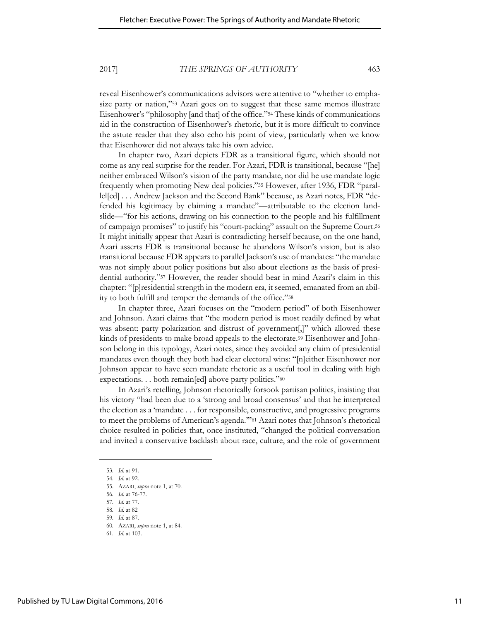reveal Eisenhower's communications advisors were attentive to "whether to emphasize party or nation,"<sup>53</sup> Azari goes on to suggest that these same memos illustrate Eisenhower's "philosophy [and that] of the office."54 These kinds of communications aid in the construction of Eisenhower's rhetoric, but it is more difficult to convince the astute reader that they also echo his point of view, particularly when we know that Eisenhower did not always take his own advice.

In chapter two, Azari depicts FDR as a transitional figure, which should not come as any real surprise for the reader. For Azari, FDR is transitional, because "[he] neither embraced Wilson's vision of the party mandate, nor did he use mandate logic frequently when promoting New deal policies."55 However, after 1936, FDR "parallel[ed] . . . Andrew Jackson and the Second Bank" because, as Azari notes, FDR "defended his legitimacy by claiming a mandate"—attributable to the election landslide—"for his actions, drawing on his connection to the people and his fulfillment of campaign promises" to justify his "court-packing" assault on the Supreme Court.<sup>56</sup> It might initially appear that Azari is contradicting herself because, on the one hand, Azari asserts FDR is transitional because he abandons Wilson's vision, but is also transitional because FDR appears to parallel Jackson's use of mandates: "the mandate was not simply about policy positions but also about elections as the basis of presidential authority."57 However, the reader should bear in mind Azari's claim in this chapter: "[p]residential strength in the modern era, it seemed, emanated from an ability to both fulfill and temper the demands of the office."<sup>58</sup>

In chapter three, Azari focuses on the "modern period" of both Eisenhower and Johnson. Azari claims that "the modern period is most readily defined by what was absent: party polarization and distrust of government[,]" which allowed these kinds of presidents to make broad appeals to the electorate.<sup>59</sup> Eisenhower and Johnson belong in this typology, Azari notes, since they avoided any claim of presidential mandates even though they both had clear electoral wins: "[n]either Eisenhower nor Johnson appear to have seen mandate rhetoric as a useful tool in dealing with high expectations. . . both remain[ed] above party politics."<sup>60</sup>

In Azari's retelling, Johnson rhetorically forsook partisan politics, insisting that his victory "had been due to a 'strong and broad consensus' and that he interpreted the election as a 'mandate . . . for responsible, constructive, and progressive programs to meet the problems of American's agenda.'"<sup>61</sup> Azari notes that Johnson's rhetorical choice resulted in policies that, once instituted, "changed the political conversation and invited a conservative backlash about race, culture, and the role of government

<sup>53</sup>*. Id*. at 91. 54*. Id*. at 92.

<sup>55.</sup> AZARI, *supra* note 1, at 70.

<sup>56</sup>*. Id*. at 76-77.

<sup>57</sup>*. Id*. at 77.

<sup>58</sup>*. Id*. at 82

<sup>59</sup>*. Id*. at 87.

<sup>60</sup>*.* AZARI, *supra* note 1, at 84.

<sup>61</sup>*. Id*. at 103.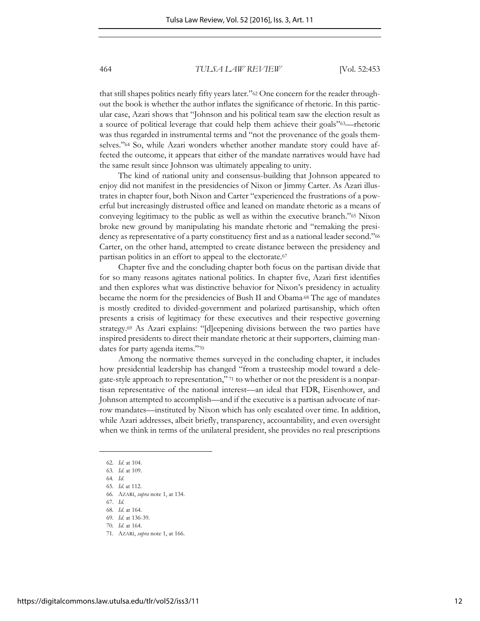that still shapes politics nearly fifty years later."62 One concern for the reader throughout the book is whether the author inflates the significance of rhetoric. In this particular case, Azari shows that "Johnson and his political team saw the election result as a source of political leverage that could help them achieve their goals"63—rhetoric was thus regarded in instrumental terms and "not the provenance of the goals themselves."<sup>64</sup> So, while Azari wonders whether another mandate story could have affected the outcome, it appears that either of the mandate narratives would have had the same result since Johnson was ultimately appealing to unity.

The kind of national unity and consensus-building that Johnson appeared to enjoy did not manifest in the presidencies of Nixon or Jimmy Carter. As Azari illustrates in chapter four, both Nixon and Carter "experienced the frustrations of a powerful but increasingly distrusted office and leaned on mandate rhetoric as a means of conveying legitimacy to the public as well as within the executive branch."65 Nixon broke new ground by manipulating his mandate rhetoric and "remaking the presidency as representative of a party constituency first and as a national leader second."<sup>66</sup> Carter, on the other hand, attempted to create distance between the presidency and partisan politics in an effort to appeal to the electorate.<sup>67</sup>

Chapter five and the concluding chapter both focus on the partisan divide that for so many reasons agitates national politics. In chapter five, Azari first identifies and then explores what was distinctive behavior for Nixon's presidency in actuality became the norm for the presidencies of Bush II and Obama.68 The age of mandates is mostly credited to divided-government and polarized partisanship, which often presents a crisis of legitimacy for these executives and their respective governing strategy.69 As Azari explains: "[d]eepening divisions between the two parties have inspired presidents to direct their mandate rhetoric at their supporters, claiming mandates for party agenda items."<sup>70</sup>

Among the normative themes surveyed in the concluding chapter, it includes how presidential leadership has changed "from a trusteeship model toward a delegate-style approach to representation," <sup>71</sup> to whether or not the president is a nonpartisan representative of the national interest—an ideal that FDR, Eisenhower, and Johnson attempted to accomplish—and if the executive is a partisan advocate of narrow mandates—instituted by Nixon which has only escalated over time. In addition, while Azari addresses, albeit briefly, transparency, accountability, and even oversight when we think in terms of the unilateral president, she provides no real prescriptions

- 67. *Id.*  68*. Id*. at 164.
- 69*. Id*. at 136-39.
- 70*. Id*. at 164.
- 71*.* AZARI, *supra* note 1, at 166.

<sup>62</sup>*. Id*. at 104.

<sup>63.</sup> *Id*. at 109.

<sup>64</sup>*. Id*.

<sup>65.</sup> *Id*. at 112.

<sup>66</sup>*.* AZARI, *supra* note 1, at 134.